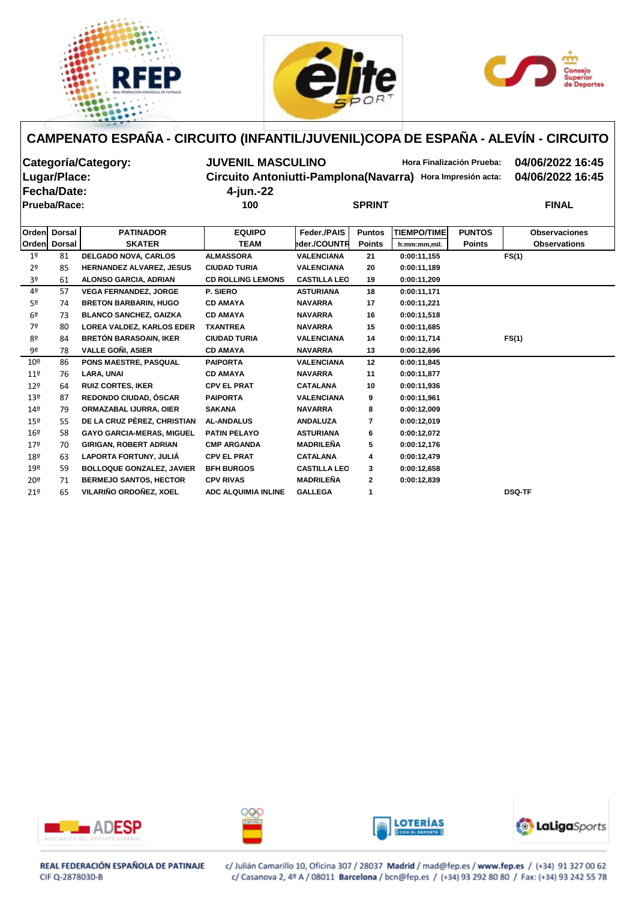





| Categoría/Category: | <b>JUVENIL MASCULINO</b> | Hora Finalización Prueba:                                  | 04/06/2022 16:45 |
|---------------------|--------------------------|------------------------------------------------------------|------------------|
| Lugar/Place:        |                          | Circuito Antoniutti-Pamplona(Navarra) Hora Impresión acta: | 04/06/2022 16:45 |
| <b>Fecha/Date:</b>  | 4-jun.-22                |                                                            |                  |
| <b>Prueba/Race:</b> | 100                      | <b>SPRINT</b>                                              | <b>FINAL</b>     |
|                     |                          |                                                            |                  |

|                 | Orden Dorsal | <b>PATINADOR</b>                 | <b>EQUIPO</b>              | <b>Feder./PAIS</b>  | <b>Puntos</b> | <b>TIEMPO/TIME</b> | <b>PUNTOS</b> | <b>Observaciones</b> |
|-----------------|--------------|----------------------------------|----------------------------|---------------------|---------------|--------------------|---------------|----------------------|
|                 | Orden Dorsal | <b>SKATER</b>                    | <b>TEAM</b>                | eder./COUNTR        | <b>Points</b> | h:mm:mm,mil.       | <b>Points</b> | <b>Observations</b>  |
| 1 <sup>o</sup>  | 81           | <b>DELGADO NOVA, CARLOS</b>      | <b>ALMASSORA</b>           | <b>VALENCIANA</b>   | 21            | 0:00:11,155        |               | FS(1)                |
| 2 <sup>o</sup>  | 85           | <b>HERNANDEZ ALVAREZ, JESUS</b>  | <b>CIUDAD TURIA</b>        | <b>VALENCIANA</b>   | 20            | 0:00:11,189        |               |                      |
| 3º              | 61           | <b>ALONSO GARCIA, ADRIAN</b>     | <b>CD ROLLING LEMONS</b>   | <b>CASTILLA LEO</b> | 19            | 0:00:11,209        |               |                      |
| 4º              | 57           | <b>VEGA FERNANDEZ, JORGE</b>     | P. SIERO                   | <b>ASTURIANA</b>    | 18            | 0:00:11,171        |               |                      |
| 5 <sup>o</sup>  | 74           | <b>BRETON BARBARIN, HUGO</b>     | <b>CD AMAYA</b>            | <b>NAVARRA</b>      | 17            | 0:00:11,221        |               |                      |
| 6º              | 73           | <b>BLANCO SANCHEZ, GAIZKA</b>    | <b>CD AMAYA</b>            | <b>NAVARRA</b>      | 16            | 0:00:11,518        |               |                      |
| 7º              | 80           | <b>LOREA VALDEZ, KARLOS EDER</b> | <b>TXANTREA</b>            | <b>NAVARRA</b>      | 15            | 0:00:11,685        |               |                      |
| 8º              | 84           | <b>BRETÓN BARASOAIN, IKER</b>    | <b>CIUDAD TURIA</b>        | <b>VALENCIANA</b>   | 14            | 0:00:11,714        |               | FS(1)                |
| 9º              | 78           | <b>VALLE GONI, ASIER</b>         | <b>CD AMAYA</b>            | <b>NAVARRA</b>      | 13            | 0:00:12,696        |               |                      |
| 10 <sup>°</sup> | 86           | <b>PONS MAESTRE, PASQUAL</b>     | <b>PAIPORTA</b>            | <b>VALENCIANA</b>   | $12 \,$       | 0:00:11,845        |               |                      |
| $11^{\circ}$    | 76           | LARA, UNAI                       | <b>CD AMAYA</b>            | <b>NAVARRA</b>      | 11            | 0:00:11,877        |               |                      |
| 12 <sup>°</sup> | 64           | <b>RUIZ CORTES, IKER</b>         | <b>CPV EL PRAT</b>         | <b>CATALANA</b>     | 10            | 0:00:11,936        |               |                      |
| 13 <sup>°</sup> | 87           | REDONDO CIUDAD, ÓSCAR            | <b>PAIPORTA</b>            | <b>VALENCIANA</b>   | 9             | 0:00:11,961        |               |                      |
| 14 <sup>°</sup> | 79           | <b>ORMAZABAL IJURRA, OIER</b>    | <b>SAKANA</b>              | <b>NAVARRA</b>      | 8             | 0:00:12,009        |               |                      |
| $15^{\circ}$    | 55           | DE LA CRUZ PÉREZ, CHRISTIAN      | <b>AL-ANDALUS</b>          | <b>ANDALUZA</b>     | 7             | 0:00:12,019        |               |                      |
| 16 <sup>°</sup> | 58           | <b>GAYO GARCIA-MERAS, MIGUEL</b> | <b>PATIN PELAYO</b>        | <b>ASTURIANA</b>    | 6             | 0:00:12,072        |               |                      |
| 179             | 70           | <b>GIRIGAN, ROBERT ADRIAN</b>    | <b>CMP ARGANDA</b>         | <b>MADRILEÑA</b>    | 5             | 0:00:12,176        |               |                      |
| 18º             | 63           | <b>LAPORTA FORTUNY, JULIA</b>    | <b>CPV EL PRAT</b>         | <b>CATALANA</b>     | 4             | 0:00:12,479        |               |                      |
| 19º             | 59           | <b>BOLLOQUE GONZALEZ, JAVIER</b> | <b>BFH BURGOS</b>          | <b>CASTILLA LEO</b> | 3             | 0:00:12,658        |               |                      |
| 20º             | 71           | <b>BERMEJO SANTOS, HECTOR</b>    | <b>CPV RIVAS</b>           | MADRILEÑA           | $\mathbf{2}$  | 0:00:12,839        |               |                      |
| 21°             | 65           | VILARIÑO ORDOÑEZ, XOEL           | <b>ADC ALQUIMIA INLINE</b> | <b>GALLEGA</b>      |               |                    |               | <b>DSQ-TF</b>        |









REAL FEDERACIÓN ESPAÑOLA DE PATINAJE CIF Q-2878030-B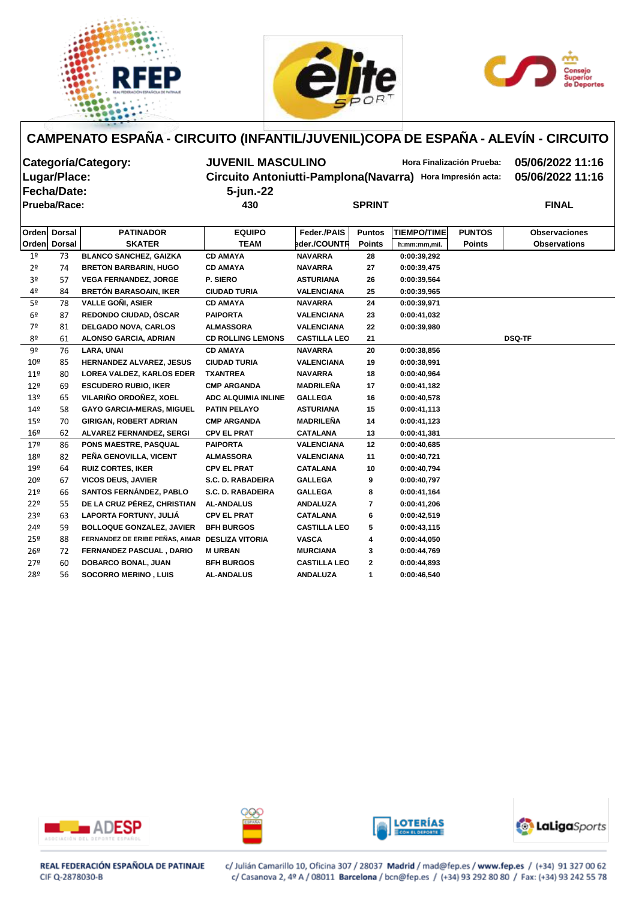





| Categoría/Category:<br>Lugar/Place:<br><b>Fecha/Date:</b> |                     |                               | <b>JUVENIL MASCULINO</b><br>Circuito Antoniutti-Pamplona(Navarra)<br>5-jun.-22 |                |               |                    | <b>Hora Finalización Prueba:</b><br>Hora Impresión acta: | 05/06/2022 11:16<br>05/06/2022 11:16 |  |  |
|-----------------------------------------------------------|---------------------|-------------------------------|--------------------------------------------------------------------------------|----------------|---------------|--------------------|----------------------------------------------------------|--------------------------------------|--|--|
|                                                           | <b>Prueba/Race:</b> |                               | 430                                                                            |                | <b>SPRINT</b> | <b>FINAL</b>       |                                                          |                                      |  |  |
| <b>Orden</b>                                              | <b>Dorsal</b>       | <b>PATINADOR</b>              | <b>EQUIPO</b>                                                                  | Feder / PAIS   | <b>Puntos</b> | <b>TIEMPO/TIME</b> | <b>PUNTOS</b>                                            | <b>Observaciones</b>                 |  |  |
| l Ordenl                                                  | Dorsal              | <b>SKATER</b>                 | <b>TEAM</b>                                                                    | eder./COUNTR   | <b>Points</b> | h:mm:mm,mil.       | <b>Points</b>                                            | <b>Observations</b>                  |  |  |
| 1 <sup>°</sup>                                            | 73                  | <b>BLANCO SANCHEZ, GAIZKA</b> | <b>CD AMAYA</b>                                                                | <b>NAVARRA</b> | 28            | 0:00:39,292        |                                                          |                                      |  |  |
| 2 <sup>o</sup>                                            | 74                  | <b>BRETON BARBARIN, HUGO</b>  | <b>CD AMAYA</b>                                                                | <b>NAVARRA</b> | 27            | 0:00:39,475        |                                                          |                                      |  |  |

| 3 <sup>o</sup>  | 57 | <b>VEGA FERNANDEZ, JORGE</b>                    | P. SIERO                   | <b>ASTURIANA</b>    | 26             | 0:00:39,564 |               |
|-----------------|----|-------------------------------------------------|----------------------------|---------------------|----------------|-------------|---------------|
| 4º              | 84 | <b>BRETÓN BARASOAIN, IKER</b>                   | <b>CIUDAD TURIA</b>        | <b>VALENCIANA</b>   | 25             | 0:00:39,965 |               |
| 5 <sup>o</sup>  | 78 | <b>VALLE GOÑI, ASIER</b>                        | <b>CD AMAYA</b>            | <b>NAVARRA</b>      | 24             | 0:00:39,971 |               |
| 6 <sup>9</sup>  | 87 | <b>REDONDO CIUDAD, ÓSCAR</b>                    | <b>PAIPORTA</b>            | <b>VALENCIANA</b>   | 23             | 0:00:41,032 |               |
| 7º              | 81 | <b>DELGADO NOVA, CARLOS</b>                     | <b>ALMASSORA</b>           | <b>VALENCIANA</b>   | 22             | 0:00:39,980 |               |
| 8º              | 61 | <b>ALONSO GARCIA, ADRIAN</b>                    | <b>CD ROLLING LEMONS</b>   | <b>CASTILLA LEO</b> | 21             |             | <b>DSQ-TF</b> |
| 9º              | 76 | LARA, UNAI                                      | <b>CD AMAYA</b>            | <b>NAVARRA</b>      | 20             | 0:00:38,856 |               |
| 10 <sup>°</sup> | 85 | HERNANDEZ ALVAREZ, JESUS                        | <b>CIUDAD TURIA</b>        | <b>VALENCIANA</b>   | 19             | 0:00:38,991 |               |
| 11 <sup>°</sup> | 80 | <b>LOREA VALDEZ, KARLOS EDER</b>                | <b>TXANTREA</b>            | <b>NAVARRA</b>      | 18             | 0:00:40,964 |               |
| $12^{\circ}$    | 69 | <b>ESCUDERO RUBIO, IKER</b>                     | <b>CMP ARGANDA</b>         | <b>MADRILEÑA</b>    | 17             | 0:00:41,182 |               |
| 13 <sup>°</sup> | 65 | VILARIÑO ORDOÑEZ, XOEL                          | <b>ADC ALQUIMIA INLINE</b> | <b>GALLEGA</b>      | 16             | 0:00:40,578 |               |
| 14 <sup>°</sup> | 58 | <b>GAYO GARCIA-MERAS, MIGUEL</b>                | <b>PATIN PELAYO</b>        | <b>ASTURIANA</b>    | 15             | 0:00:41,113 |               |
| 15 <sup>°</sup> | 70 | <b>GIRIGAN, ROBERT ADRIAN</b>                   | <b>CMP ARGANDA</b>         | <b>MADRILEÑA</b>    | 14             | 0:00:41,123 |               |
| 16 <sup>°</sup> | 62 | <b>ALVAREZ FERNANDEZ, SERGI</b>                 | <b>CPV EL PRAT</b>         | <b>CATALANA</b>     | 13             | 0:00:41,381 |               |
| 17 <sup>°</sup> | 86 | PONS MAESTRE, PASQUAL                           | <b>PAIPORTA</b>            | <b>VALENCIANA</b>   | 12             | 0:00:40,685 |               |
| 18 <sup>°</sup> | 82 | PEÑA GENOVILLA, VICENT                          | <b>ALMASSORA</b>           | <b>VALENCIANA</b>   | 11             | 0:00:40,721 |               |
| 19 <sup>°</sup> | 64 | <b>RUIZ CORTES, IKER</b>                        | <b>CPV EL PRAT</b>         | <b>CATALANA</b>     | 10             | 0:00:40,794 |               |
| 20 <sup>°</sup> | 67 | <b>VICOS DEUS, JAVIER</b>                       | S.C. D. RABADEIRA          | <b>GALLEGA</b>      | 9              | 0:00:40,797 |               |
| 21°             | 66 | <b>SANTOS FERNÁNDEZ, PABLO</b>                  | S.C. D. RABADEIRA          | <b>GALLEGA</b>      | 8              | 0:00:41,164 |               |
| 22 <sup>°</sup> | 55 | DE LA CRUZ PÉREZ, CHRISTIAN                     | <b>AL-ANDALUS</b>          | <b>ANDALUZA</b>     | $\overline{7}$ | 0:00:41,206 |               |
| 23º             | 63 | LAPORTA FORTUNY, JULIÁ                          | <b>CPV EL PRAT</b>         | <b>CATALANA</b>     | 6              | 0:00:42,519 |               |
| 24º             | 59 | <b>BOLLOQUE GONZALEZ, JAVIER</b>                | <b>BFH BURGOS</b>          | <b>CASTILLA LEO</b> | 5              | 0:00:43,115 |               |
| 25º             | 88 | FERNANDEZ DE ERIBE PEÑAS, AIMAR DESLIZA VITORIA |                            | <b>VASCA</b>        | 4              | 0:00:44,050 |               |
| 26 <sup>°</sup> | 72 | FERNANDEZ PASCUAL, DARIO                        | <b>MURBAN</b>              | <b>MURCIANA</b>     | 3              | 0:00:44,769 |               |
| 27 <sup>°</sup> | 60 | <b>DOBARCO BONAL, JUAN</b>                      | <b>BFH BURGOS</b>          | <b>CASTILLA LEO</b> | $\mathbf{2}$   | 0:00:44,893 |               |
| 28º             | 56 | <b>SOCORRO MERINO, LUIS</b>                     | <b>AL-ANDALUS</b>          | <b>ANDALUZA</b>     | 1              | 0:00:46,540 |               |
|                 |    |                                                 |                            |                     |                |             |               |









REAL FEDERACIÓN ESPAÑOLA DE PATINAJE CIF Q-2878030-B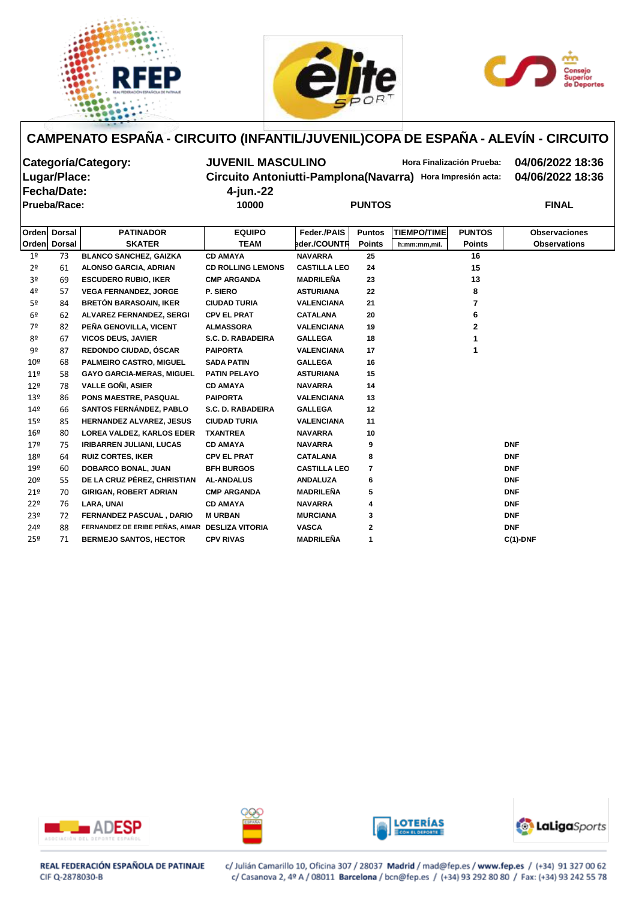





| Categoría/Category: | <b>JUVENIL MASCULINO</b> | Hora Finalización Prueba:                                  | 04/06/2022 18:36 |
|---------------------|--------------------------|------------------------------------------------------------|------------------|
| Lugar/Place:        |                          | Circuito Antoniutti-Pamplona(Navarra) Hora Impresión acta: | 04/06/2022 18:36 |
| <b>Fecha/Date:</b>  | 4-jun.-22                |                                                            |                  |
| Prueba/Race:        | 10000                    | <b>PUNTOS</b>                                              | <b>FINAL</b>     |

| Orden           | <b>Dorsal</b> | <b>PATINADOR</b>                                | <b>EQUIPO</b>            | Feder./PAIS         | <b>Puntos</b>  | <b>TIEMPO/TIME</b>            | <b>PUNTOS</b> | <b>Observaciones</b> |
|-----------------|---------------|-------------------------------------------------|--------------------------|---------------------|----------------|-------------------------------|---------------|----------------------|
| Orden           | <b>Dorsal</b> | <b>SKATER</b>                                   | <b>TEAM</b>              | eder./COUNTR        | <b>Points</b>  | <b>Points</b><br>h:mm:mm,mil. |               | <b>Observations</b>  |
| 1 <sup>°</sup>  | 73            | <b>BLANCO SANCHEZ, GAIZKA</b>                   | <b>CD AMAYA</b>          | <b>NAVARRA</b>      | 25             |                               | 16            |                      |
| 2 <sup>o</sup>  | 61            | <b>ALONSO GARCIA, ADRIAN</b>                    | <b>CD ROLLING LEMONS</b> | <b>CASTILLA LEO</b> | 24             |                               | 15            |                      |
| 3 <sup>o</sup>  | 69            | <b>ESCUDERO RUBIO, IKER</b>                     | <b>CMP ARGANDA</b>       | <b>MADRILEÑA</b>    | 23             |                               | 13            |                      |
| 4º              | 57            | <b>VEGA FERNANDEZ, JORGE</b>                    | P. SIERO                 | <b>ASTURIANA</b>    | 22             |                               | 8             |                      |
| 5 <sup>o</sup>  | 84            | <b>BRETÓN BARASOAIN, IKER</b>                   | <b>CIUDAD TURIA</b>      | <b>VALENCIANA</b>   | 21             |                               | 7             |                      |
| 6 <sup>o</sup>  | 62            | ALVAREZ FERNANDEZ, SERGI                        | <b>CPV EL PRAT</b>       | <b>CATALANA</b>     | 20             |                               | 6             |                      |
| 7º              | 82            | PEÑA GENOVILLA, VICENT                          | <b>ALMASSORA</b>         | <b>VALENCIANA</b>   | 19             |                               | $\mathbf{2}$  |                      |
| 8º              | 67            | <b>VICOS DEUS, JAVIER</b>                       | S.C. D. RABADEIRA        | <b>GALLEGA</b>      | 18             |                               |               |                      |
| 9º              | 87            | REDONDO CIUDAD, ÓSCAR                           | <b>PAIPORTA</b>          | <b>VALENCIANA</b>   | 17             |                               |               |                      |
| 10 <sup>°</sup> | 68            | PALMEIRO CASTRO, MIGUEL                         | <b>SADA PATIN</b>        | <b>GALLEGA</b>      | 16             |                               |               |                      |
| $11^{\circ}$    | 58            | <b>GAYO GARCIA-MERAS, MIGUEL</b>                | <b>PATIN PELAYO</b>      | <b>ASTURIANA</b>    | 15             |                               |               |                      |
| 12 <sup>°</sup> | 78            | <b>VALLE GONI, ASIER</b>                        | <b>CD AMAYA</b>          | <b>NAVARRA</b>      | 14             |                               |               |                      |
| 13 <sup>°</sup> | 86            | PONS MAESTRE, PASQUAL                           | <b>PAIPORTA</b>          | <b>VALENCIANA</b>   | 13             |                               |               |                      |
| 14 <sup>°</sup> | 66            | <b>SANTOS FERNÁNDEZ, PABLO</b>                  | S.C. D. RABADEIRA        | <b>GALLEGA</b>      | 12             |                               |               |                      |
| $15^{\circ}$    | 85            | <b>HERNANDEZ ALVAREZ, JESUS</b>                 | <b>CIUDAD TURIA</b>      | <b>VALENCIANA</b>   | 11             |                               |               |                      |
| 16 <sup>°</sup> | 80            | <b>LOREA VALDEZ, KARLOS EDER</b>                | <b>TXANTREA</b>          | <b>NAVARRA</b>      | 10             |                               |               |                      |
| 17 <sup>°</sup> | 75            | <b>IRIBARREN JULIANI, LUCAS</b>                 | <b>CD AMAYA</b>          | <b>NAVARRA</b>      | 9              |                               |               | <b>DNF</b>           |
| 18 <sup>°</sup> | 64            | <b>RUIZ CORTES, IKER</b>                        | <b>CPV EL PRAT</b>       | <b>CATALANA</b>     | 8              |                               |               | <b>DNF</b>           |
| 19 <sup>°</sup> | 60            | <b>DOBARCO BONAL, JUAN</b>                      | <b>BFH BURGOS</b>        | <b>CASTILLA LEO</b> | $\overline{7}$ |                               |               | <b>DNF</b>           |
| 20 <sup>°</sup> | 55            | DE LA CRUZ PÉREZ, CHRISTIAN                     | <b>AL-ANDALUS</b>        | <b>ANDALUZA</b>     | 6              |                               |               | <b>DNF</b>           |
| 21 <sup>°</sup> | 70            | <b>GIRIGAN, ROBERT ADRIAN</b>                   | <b>CMP ARGANDA</b>       | <b>MADRILEÑA</b>    | 5              |                               |               | <b>DNF</b>           |
| 22 <sup>°</sup> | 76            | <b>LARA, UNAI</b>                               | <b>CD AMAYA</b>          | <b>NAVARRA</b>      | 4              |                               |               | <b>DNF</b>           |
| 23º             | 72            | FERNANDEZ PASCUAL, DARIO                        | <b>MURBAN</b>            | <b>MURCIANA</b>     | 3              |                               |               | <b>DNF</b>           |
| 24º             | 88            | FERNANDEZ DE ERIBE PEÑAS, AIMAR DESLIZA VITORIA |                          | <b>VASCA</b>        | $\mathbf{2}$   |                               |               | <b>DNF</b>           |
| 25 <sup>°</sup> | 71            | <b>BERMEJO SANTOS, HECTOR</b>                   | <b>CPV RIVAS</b>         | <b>MADRILEÑA</b>    | 1              |                               |               | $C(1)$ -DNF          |









REAL FEDERACIÓN ESPAÑOLA DE PATINAJE CIF Q-2878030-B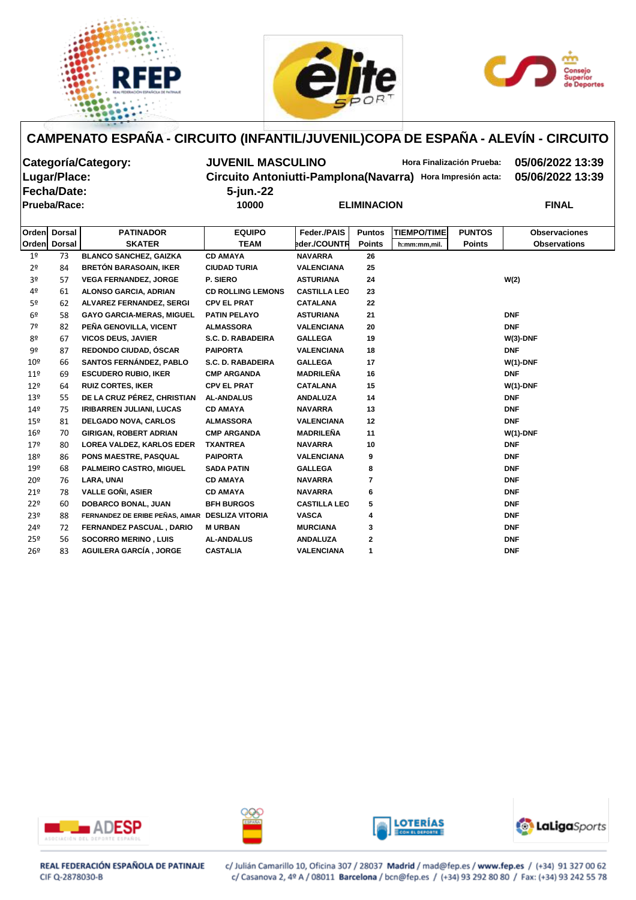





# **Fecha/Date: 5-jun.-22 Prueba/Race: 10000 ELIMINACION FINAL**

**Categoría/Category: JUVENIL MASCULINO Hora Finalización Prueba: 05/06/2022 13:39 Lugar/Place: Circuito Antoniutti-Pamplona(Navarra) Hora Impresión acta: 05/06/2022 13:39**

|                 | Orden Dorsal  | <b>PATINADOR</b>                                | <b>EQUIPO</b>            | Feder./PAIS         | <b>Puntos</b> | <b>TIEMPO/TIME</b> | <b>PUNTOS</b> | <b>Observaciones</b> |
|-----------------|---------------|-------------------------------------------------|--------------------------|---------------------|---------------|--------------------|---------------|----------------------|
| Orden           | <b>Dorsal</b> | <b>SKATER</b>                                   | <b>TEAM</b>              | eder./COUNTR        | <b>Points</b> | h:mm:mm,mil.       | <b>Points</b> | <b>Observations</b>  |
| 1 <sup>o</sup>  | 73            | <b>BLANCO SANCHEZ, GAIZKA</b>                   | <b>CD AMAYA</b>          | <b>NAVARRA</b>      | 26            |                    |               |                      |
| 2 <sup>o</sup>  | 84            | <b>BRETÓN BARASOAIN, IKER</b>                   | <b>CIUDAD TURIA</b>      | <b>VALENCIANA</b>   | 25            |                    |               |                      |
| 3º              | 57            | <b>VEGA FERNANDEZ, JORGE</b>                    | P. SIERO                 | <b>ASTURIANA</b>    | 24            |                    |               | W(2)                 |
| 4º              | 61            | <b>ALONSO GARCIA, ADRIAN</b>                    | <b>CD ROLLING LEMONS</b> | <b>CASTILLA LEO</b> | 23            |                    |               |                      |
| 5º              | 62            | <b>ALVAREZ FERNANDEZ, SERGI</b>                 | <b>CPV EL PRAT</b>       | <b>CATALANA</b>     | 22            |                    |               |                      |
| 6 <sup>o</sup>  | 58            | <b>GAYO GARCIA-MERAS, MIGUEL</b>                | <b>PATIN PELAYO</b>      | <b>ASTURIANA</b>    | 21            |                    |               | <b>DNF</b>           |
| 7º              | 82            | PEÑA GENOVILLA, VICENT                          | <b>ALMASSORA</b>         | <b>VALENCIANA</b>   | 20            |                    |               | <b>DNF</b>           |
| 8º              | 67            | <b>VICOS DEUS, JAVIER</b>                       | S.C. D. RABADEIRA        | <b>GALLEGA</b>      | 19            |                    |               | $W(3)$ -DNF          |
| 9º              | 87            | REDONDO CIUDAD, ÓSCAR                           | <b>PAIPORTA</b>          | <b>VALENCIANA</b>   | 18            |                    |               | <b>DNF</b>           |
| 10 <sup>°</sup> | 66            | <b>SANTOS FERNÁNDEZ, PABLO</b>                  | S.C. D. RABADEIRA        | <b>GALLEGA</b>      | 17            |                    |               | $W(1)$ -DNF          |
| 11 <sup>°</sup> | 69            | <b>ESCUDERO RUBIO, IKER</b>                     | <b>CMP ARGANDA</b>       | <b>MADRILEÑA</b>    | 16            |                    |               | <b>DNF</b>           |
| 12 <sup>°</sup> | 64            | <b>RUIZ CORTES, IKER</b>                        | <b>CPV EL PRAT</b>       | <b>CATALANA</b>     | 15            |                    |               | $W(1)$ -DNF          |
| 13 <sup>°</sup> | 55            | DE LA CRUZ PÉREZ, CHRISTIAN                     | <b>AL-ANDALUS</b>        | <b>ANDALUZA</b>     | 14            |                    |               | <b>DNF</b>           |
| 14 <sup>°</sup> | 75            | <b>IRIBARREN JULIANI, LUCAS</b>                 | <b>CD AMAYA</b>          | <b>NAVARRA</b>      | 13            |                    |               | <b>DNF</b>           |
| 15 <sup>°</sup> | 81            | <b>DELGADO NOVA, CARLOS</b>                     | <b>ALMASSORA</b>         | <b>VALENCIANA</b>   | 12            |                    |               | <b>DNF</b>           |
| $16^{\circ}$    | 70            | <b>GIRIGAN, ROBERT ADRIAN</b>                   | <b>CMP ARGANDA</b>       | <b>MADRILEÑA</b>    | 11            |                    |               | $W(1)$ -DNF          |
| 17 <sup>°</sup> | 80            | <b>LOREA VALDEZ, KARLOS EDER</b>                | <b>TXANTREA</b>          | <b>NAVARRA</b>      | 10            |                    |               | <b>DNF</b>           |
| 18º             | 86            | PONS MAESTRE, PASQUAL                           | <b>PAIPORTA</b>          | <b>VALENCIANA</b>   | 9             |                    |               | <b>DNF</b>           |
| 19º             | 68            | PALMEIRO CASTRO, MIGUEL                         | <b>SADA PATIN</b>        | <b>GALLEGA</b>      | 8             |                    |               | <b>DNF</b>           |
| 20º             | 76            | <b>LARA, UNAI</b>                               | <b>CD AMAYA</b>          | <b>NAVARRA</b>      | 7             |                    |               | <b>DNF</b>           |
| 21°             | 78            | <b>VALLE GONI, ASIER</b>                        | <b>CD AMAYA</b>          | <b>NAVARRA</b>      | 6             |                    |               | <b>DNF</b>           |
| 22 <sup>°</sup> | 60            | <b>DOBARCO BONAL, JUAN</b>                      | <b>BFH BURGOS</b>        | <b>CASTILLA LEO</b> | 5             |                    |               | <b>DNF</b>           |
| 23º             | 88            | FERNANDEZ DE ERIBE PEÑAS, AIMAR DESLIZA VITORIA |                          | <b>VASCA</b>        | 4             |                    |               | <b>DNF</b>           |
| 24º             | 72            | <b>FERNANDEZ PASCUAL, DARIO</b>                 | <b>MURBAN</b>            | <b>MURCIANA</b>     | 3             |                    |               | <b>DNF</b>           |
| 25º             | 56            | <b>SOCORRO MERINO, LUIS</b>                     | <b>AL-ANDALUS</b>        | <b>ANDALUZA</b>     | $\mathbf 2$   |                    |               | <b>DNF</b>           |
| 26º             | 83            | <b>AGUILERA GARCÍA, JORGE</b>                   | <b>CASTALIA</b>          | <b>VALENCIANA</b>   | 1             |                    |               | <b>DNF</b>           |









REAL FEDERACIÓN ESPAÑOLA DE PATINAJE CIF Q-2878030-B